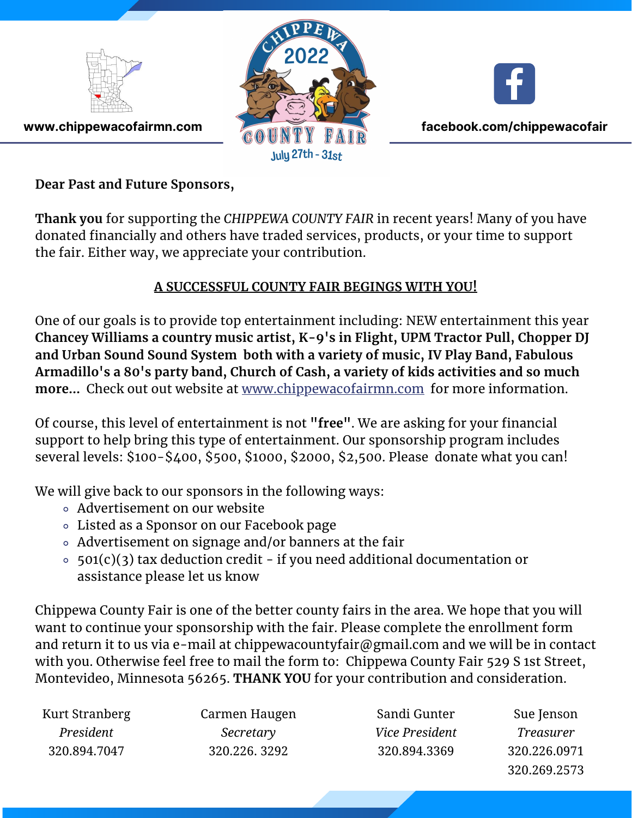





**www.chippewacofairmn.com facebook.com/chippewacofair** 

**Dear Past and Future Sponsors,**

**Thank you** for supporting the *CHIPPEWA COUNTY FAIR* in recent years! Many of you have donated financially and others have traded services, products, or your time to support the fair. Either way, we appreciate your contribution.

## **A SUCCESSFUL COUNTY FAIR BEGINGS WITH YOU!**

One of our goals is to provide top entertainment including: NEW entertainment this year **Chancey Williams a country music artist, K-9's in Flight, UPM Tractor Pull, Chopper DJ and Urban Sound Sound System both with a variety of music, IV Play Band, Fabulous Armadillo's a 80's party band, Church of Cash, a variety of kids activities and so much more...** Check out out website at www.chippewacofairmn.com for more information.

Of course, this level of entertainment is not **"free"**. We are asking for your financial support to help bring this type of entertainment. Our sponsorship program includes several levels: \$100-\$400, \$500, \$1000, \$2000, \$2,500. Please donate what you can!

We will give back to our sponsors in the following ways:

- Advertisement on our website
- Listed as a Sponsor on our Facebook page
- Advertisement on signage and/or banners at the fair
- $\circ$  501(c)(3) tax deduction credit if you need additional documentation or assistance please let us know

Chippewa County Fair is one of the better county fairs in the area. We hope that you will want to continue your sponsorship with the fair. Please complete the enrollment form and return it to us via e-mail at chippewacountyfair@gmail.com and we will be in contact with you. Otherwise feel free to mail the form to: Chippewa County Fair 529 S 1st Street, Montevideo, Minnesota 56265. **THANK YOU** for your contribution and consideration.

| Kurt Stranberg | Carmen Haugen | Sandi Gunter          | Sue Jenson       |
|----------------|---------------|-----------------------|------------------|
| President      | Secretary     | <i>Vice President</i> | <i>Treasurer</i> |
| 320.894.7047   | 320.226.3292  | 320.894.3369          | 320.226.0971     |
|                |               |                       | 320.269.2573     |